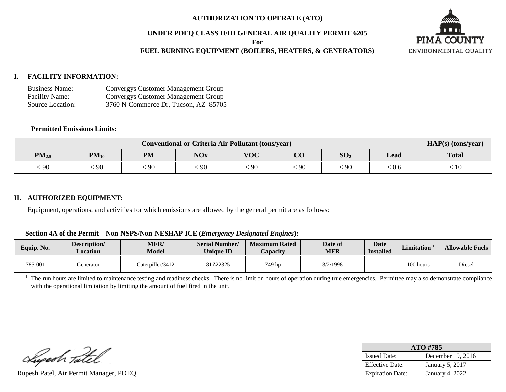## **AUTHORIZATION TO OPERATE (ATO)**

#### **UNDER PDEQ CLASS II/III GENERAL AIR QUALITY PERMIT 6205**

**For**

## **FUEL BURNING EQUIPMENT (BOILERS, HEATERS, & GENERATORS)**



#### **I. FACILITY INFORMATION:**

| <b>Business Name:</b> | <b>Convergys Customer Management Group</b> |
|-----------------------|--------------------------------------------|
| <b>Facility Name:</b> | Convergys Customer Management Group        |
| Source Location:      | 3760 N Commerce Dr, Tucson, AZ 85705       |

## **Permitted Emissions Limits:**

|            | $HAP(s)$ (tons/year) |           |            |            |                                   |                 |      |              |
|------------|----------------------|-----------|------------|------------|-----------------------------------|-----------------|------|--------------|
| $PM_{2.5}$ | $PM_{10}$            | <b>PM</b> | <b>NOx</b> | <b>VOC</b> | $\overline{\textbf{C}}\textbf{O}$ | SO <sub>2</sub> | Lead | <b>Total</b> |
| 90         | 90                   | 90        | 90         | 90         | 90                                | $\cdot$ 90      | 0.6  | 10           |

#### **II. AUTHORIZED EQUIPMENT:**

Equipment, operations, and activities for which emissions are allowed by the general permit are as follows:

|  |  |  |  |  |  |  | Section 4A of the Permit - Non-NSPS/Non-NESHAP ICE (Emergency Designated Engines): |  |  |
|--|--|--|--|--|--|--|------------------------------------------------------------------------------------|--|--|
|--|--|--|--|--|--|--|------------------------------------------------------------------------------------|--|--|

| Equip. No. | Description/<br>Location | <b>MFR</b><br><b>Model</b> | <b>Serial Number/</b><br><b>Unique ID</b> | <b>Maximum Rated</b><br>Capacity | Date of<br>MFR | <b>Date</b><br><b>Installed</b> | Limitation 1 | <b>Allowable Fuels</b> |
|------------|--------------------------|----------------------------|-------------------------------------------|----------------------------------|----------------|---------------------------------|--------------|------------------------|
| 785-001    | Generator                | Caterpiller/3412           | 81Z22325                                  | 749 hp                           | 3/2/1998       |                                 | 100 hours    | Diesel                 |

<sup>1</sup> The run hours are limited to maintenance testing and readiness checks. There is no limit on hours of operation during true emergencies. Permittee may also demonstrate compliance with the operational limitation by limiting the amount of fuel fired in the unit.

Lupesh Tatel

Rupesh Patel, Air Permit Manager, PDEQ

| ATO #785                |                        |  |  |  |  |
|-------------------------|------------------------|--|--|--|--|
| <b>Issued Date:</b>     | December 19, 2016      |  |  |  |  |
| <b>Effective Date:</b>  | <b>January 5, 2017</b> |  |  |  |  |
| <b>Expiration Date:</b> | January 4, 2022        |  |  |  |  |